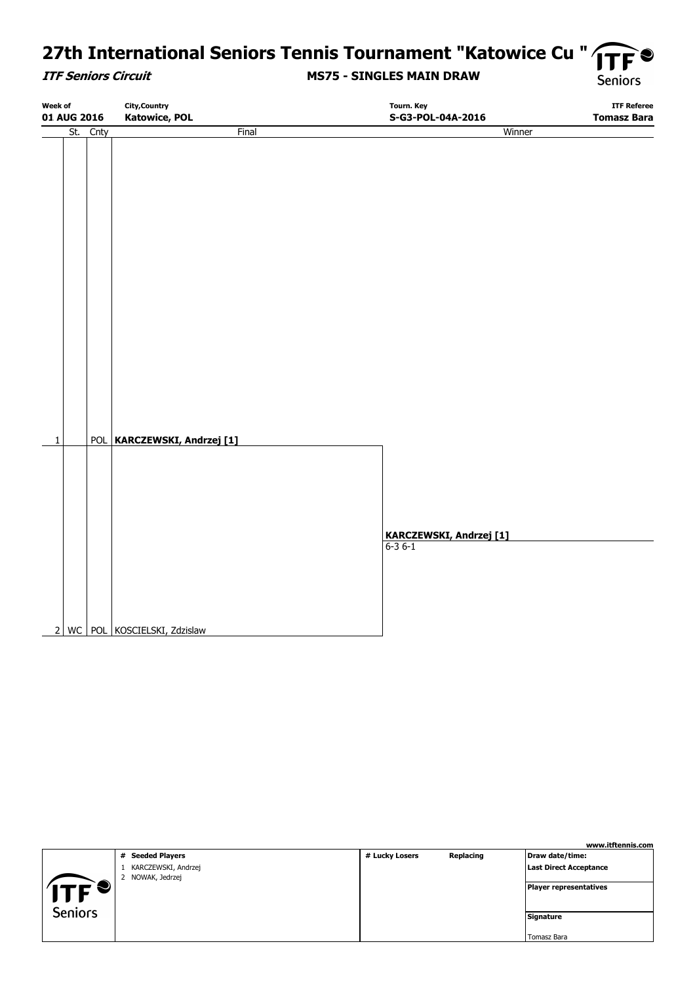# 27th International Seniors Tennis Tournament "Katowice Cu " TF

#### **ITF Seniors Circuit**

### **MS75 - SINGLES MAIN DRAW**

**Seniors** 

| <b>Week of</b> |     |      | <b>City, Country</b>          | <b>Tourn. Key</b>              | <b>ITF Referee</b> |
|----------------|-----|------|-------------------------------|--------------------------------|--------------------|
| 01 AUG 2016    |     |      | <b>Katowice, POL</b>          | S-G3-POL-04A-2016              | <b>Tomasz Bara</b> |
|                | St. | Cnty | Final                         | Winner                         |                    |
|                |     |      |                               |                                |                    |
|                |     |      |                               |                                |                    |
|                |     |      |                               |                                |                    |
|                |     |      |                               |                                |                    |
|                |     |      |                               |                                |                    |
|                |     |      |                               |                                |                    |
|                |     |      |                               |                                |                    |
|                |     |      |                               |                                |                    |
|                |     |      |                               |                                |                    |
|                |     |      |                               |                                |                    |
|                |     |      |                               |                                |                    |
|                |     |      |                               |                                |                    |
|                |     |      |                               |                                |                    |
|                |     |      |                               |                                |                    |
|                |     |      |                               |                                |                    |
|                |     |      |                               |                                |                    |
|                |     |      |                               |                                |                    |
|                |     |      |                               |                                |                    |
|                |     |      |                               |                                |                    |
|                |     |      |                               |                                |                    |
|                |     |      |                               |                                |                    |
| $\,1\,$        |     |      | POL KARCZEWSKI, Andrzej [1]   |                                |                    |
|                |     |      |                               |                                |                    |
|                |     |      |                               |                                |                    |
|                |     |      |                               |                                |                    |
|                |     |      |                               |                                |                    |
|                |     |      |                               |                                |                    |
|                |     |      |                               | <b>KARCZEWSKI, Andrzej [1]</b> |                    |
|                |     |      |                               | $6-36-1$                       |                    |
|                |     |      |                               |                                |                    |
|                |     |      |                               |                                |                    |
|                |     |      |                               |                                |                    |
|                |     |      |                               |                                |                    |
|                |     |      |                               |                                |                    |
|                |     |      | 2 WC POL KOSCIELSKI, Zdzislaw |                                |                    |

|                           |                                         |                |           | www.itftennis.com      |
|---------------------------|-----------------------------------------|----------------|-----------|------------------------|
|                           | # Seeded Players                        | # Lucky Losers | Replacing | Draw date/time:        |
|                           | KARCZEWSKI, Andrzej<br>2 NOWAK, Jedrzej |                |           | Last Direct Acceptance |
| $ \mathsf{TF}^{\bullet} $ |                                         |                |           | Player representatives |
| <b>Seniors</b>            |                                         |                |           | Signature              |
|                           |                                         |                |           | Tomasz Bara            |